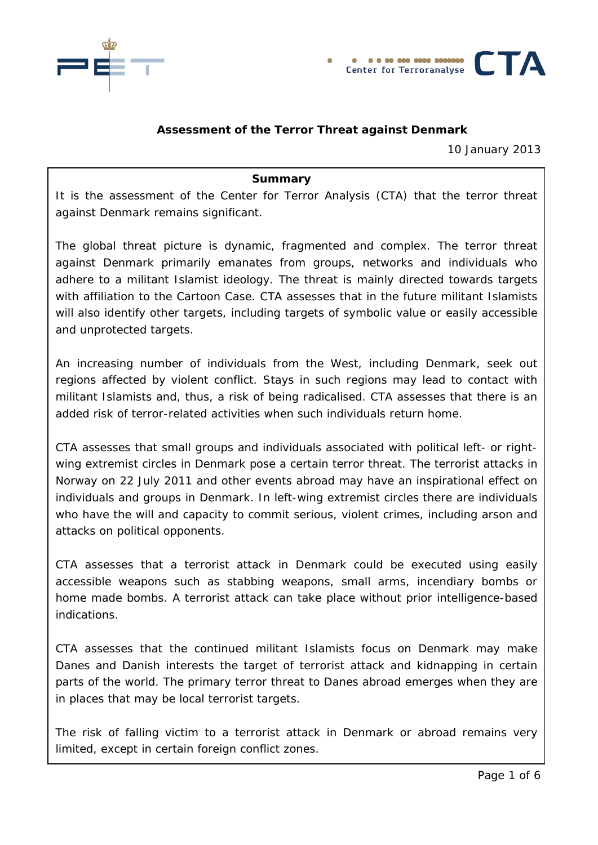



# **Assessment of the Terror Threat against Denmark**

10 January 2013

#### **Summary**

It is the assessment of the Center for Terror Analysis (CTA) that the terror threat against Denmark remains significant.

The global threat picture is dynamic, fragmented and complex. The terror threat against Denmark primarily emanates from groups, networks and individuals who adhere to a militant Islamist ideology. The threat is mainly directed towards targets with affiliation to the Cartoon Case. CTA assesses that in the future militant Islamists will also identify other targets, including targets of symbolic value or easily accessible and unprotected targets.

An increasing number of individuals from the West, including Denmark, seek out regions affected by violent conflict. Stays in such regions may lead to contact with militant Islamists and, thus, a risk of being radicalised. CTA assesses that there is an added risk of terror-related activities when such individuals return home.

CTA assesses that small groups and individuals associated with political left- or rightwing extremist circles in Denmark pose a certain terror threat. The terrorist attacks in Norway on 22 July 2011 and other events abroad may have an inspirational effect on individuals and groups in Denmark. In left-wing extremist circles there are individuals who have the will and capacity to commit serious, violent crimes, including arson and attacks on political opponents.

CTA assesses that a terrorist attack in Denmark could be executed using easily accessible weapons such as stabbing weapons, small arms, incendiary bombs or home made bombs. A terrorist attack can take place without prior intelligence-based indications.

CTA assesses that the continued militant Islamists focus on Denmark may make Danes and Danish interests the target of terrorist attack and kidnapping in certain parts of the world. The primary terror threat to Danes abroad emerges when they are in places that may be local terrorist targets.

The risk of falling victim to a terrorist attack in Denmark or abroad remains very limited, except in certain foreign conflict zones.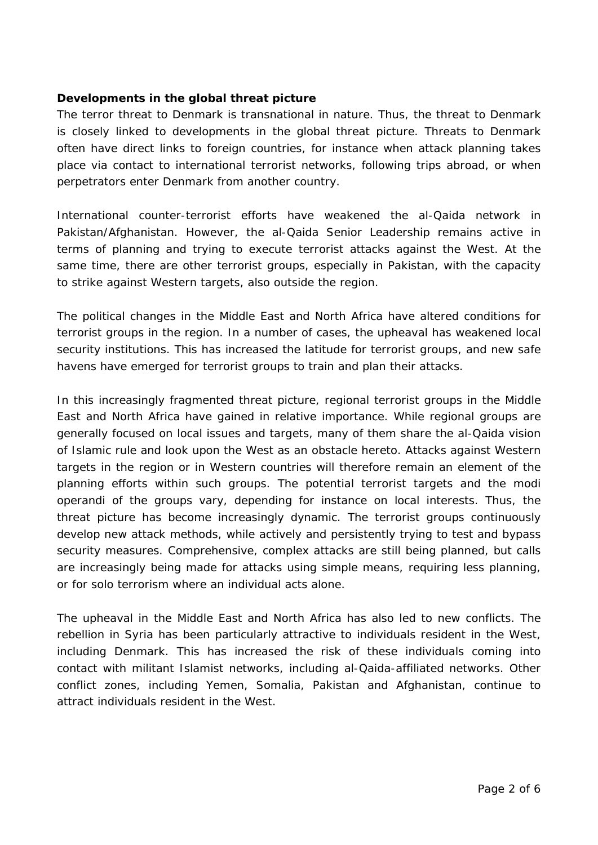### **Developments in the global threat picture**

The terror threat to Denmark is transnational in nature. Thus, the threat to Denmark is closely linked to developments in the global threat picture. Threats to Denmark often have direct links to foreign countries, for instance when attack planning takes place via contact to international terrorist networks, following trips abroad, or when perpetrators enter Denmark from another country.

International counter-terrorist efforts have weakened the al-Qaida network in Pakistan/Afghanistan. However, the al-Qaida Senior Leadership remains active in terms of planning and trying to execute terrorist attacks against the West. At the same time, there are other terrorist groups, especially in Pakistan, with the capacity to strike against Western targets, also outside the region.

The political changes in the Middle East and North Africa have altered conditions for terrorist groups in the region. In a number of cases, the upheaval has weakened local security institutions. This has increased the latitude for terrorist groups, and new safe havens have emerged for terrorist groups to train and plan their attacks.

In this increasingly fragmented threat picture, regional terrorist groups in the Middle East and North Africa have gained in relative importance. While regional groups are generally focused on local issues and targets, many of them share the al-Qaida vision of Islamic rule and look upon the West as an obstacle hereto. Attacks against Western targets in the region or in Western countries will therefore remain an element of the planning efforts within such groups. The potential terrorist targets and the modi operandi of the groups vary, depending for instance on local interests. Thus, the threat picture has become increasingly dynamic. The terrorist groups continuously develop new attack methods, while actively and persistently trying to test and bypass security measures. Comprehensive, complex attacks are still being planned, but calls are increasingly being made for attacks using simple means, requiring less planning, or for solo terrorism where an individual acts alone.

The upheaval in the Middle East and North Africa has also led to new conflicts. The rebellion in Syria has been particularly attractive to individuals resident in the West, including Denmark. This has increased the risk of these individuals coming into contact with militant Islamist networks, including al-Qaida-affiliated networks. Other conflict zones, including Yemen, Somalia, Pakistan and Afghanistan, continue to attract individuals resident in the West.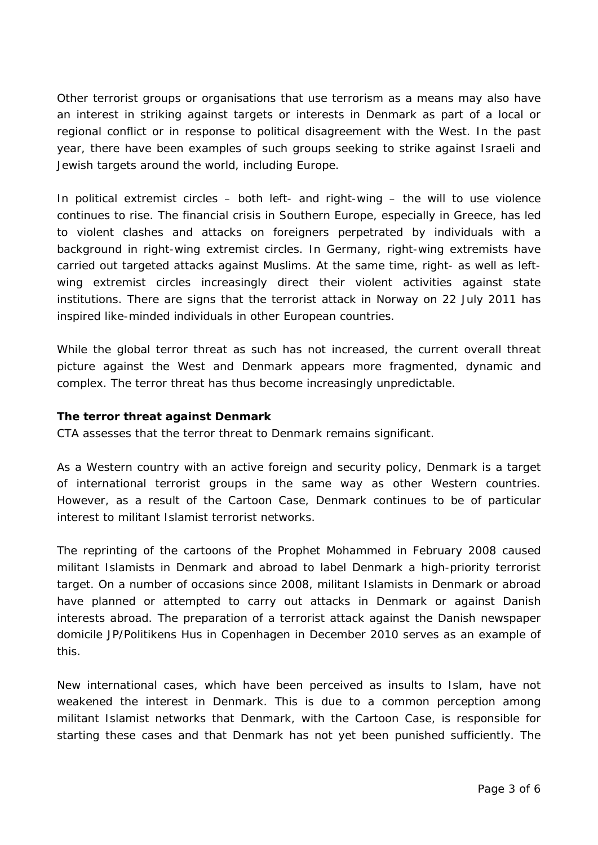Other terrorist groups or organisations that use terrorism as a means may also have an interest in striking against targets or interests in Denmark as part of a local or regional conflict or in response to political disagreement with the West. In the past year, there have been examples of such groups seeking to strike against Israeli and Jewish targets around the world, including Europe.

In political extremist circles – both left- and right-wing – the will to use violence continues to rise. The financial crisis in Southern Europe, especially in Greece, has led to violent clashes and attacks on foreigners perpetrated by individuals with a background in right-wing extremist circles. In Germany, right-wing extremists have carried out targeted attacks against Muslims. At the same time, right- as well as leftwing extremist circles increasingly direct their violent activities against state institutions. There are signs that the terrorist attack in Norway on 22 July 2011 has inspired like-minded individuals in other European countries.

While the global terror threat as such has not increased, the current overall threat picture against the West and Denmark appears more fragmented, dynamic and complex. The terror threat has thus become increasingly unpredictable.

### **The terror threat against Denmark**

CTA assesses that the terror threat to Denmark remains significant.

As a Western country with an active foreign and security policy, Denmark is a target of international terrorist groups in the same way as other Western countries. However, as a result of the Cartoon Case, Denmark continues to be of particular interest to militant Islamist terrorist networks.

The reprinting of the cartoons of the Prophet Mohammed in February 2008 caused militant Islamists in Denmark and abroad to label Denmark a high-priority terrorist target. On a number of occasions since 2008, militant Islamists in Denmark or abroad have planned or attempted to carry out attacks in Denmark or against Danish interests abroad. The preparation of a terrorist attack against the Danish newspaper domicile JP/Politikens Hus in Copenhagen in December 2010 serves as an example of this.

New international cases, which have been perceived as insults to Islam, have not weakened the interest in Denmark. This is due to a common perception among militant Islamist networks that Denmark, with the Cartoon Case, is responsible for starting these cases and that Denmark has not yet been punished sufficiently. The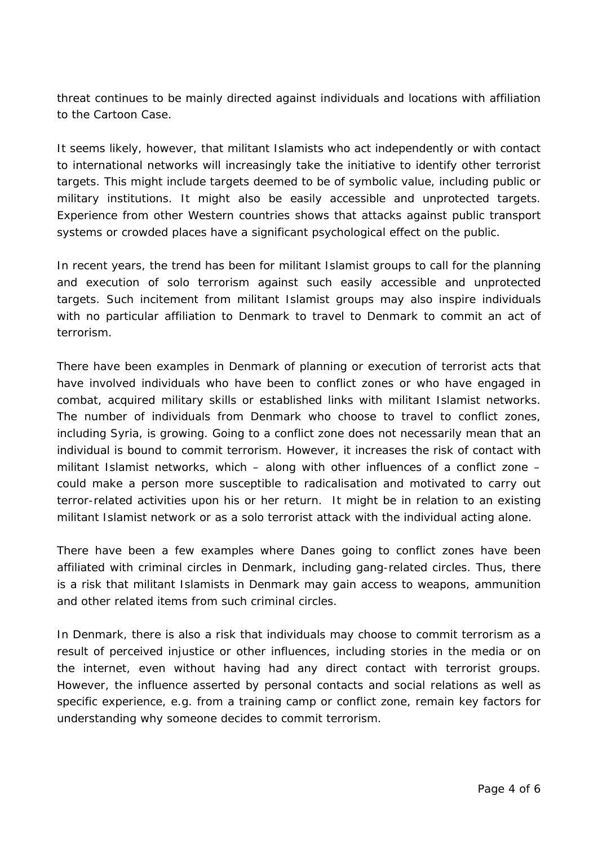threat continues to be mainly directed against individuals and locations with affiliation to the Cartoon Case.

It seems likely, however, that militant Islamists who act independently or with contact to international networks will increasingly take the initiative to identify other terrorist targets. This might include targets deemed to be of symbolic value, including public or military institutions. It might also be easily accessible and unprotected targets. Experience from other Western countries shows that attacks against public transport systems or crowded places have a significant psychological effect on the public.

In recent years, the trend has been for militant Islamist groups to call for the planning and execution of solo terrorism against such easily accessible and unprotected targets. Such incitement from militant Islamist groups may also inspire individuals with no particular affiliation to Denmark to travel to Denmark to commit an act of terrorism.

There have been examples in Denmark of planning or execution of terrorist acts that have involved individuals who have been to conflict zones or who have engaged in combat, acquired military skills or established links with militant Islamist networks. The number of individuals from Denmark who choose to travel to conflict zones, including Syria, is growing. Going to a conflict zone does not necessarily mean that an individual is bound to commit terrorism. However, it increases the risk of contact with militant Islamist networks, which – along with other influences of a conflict zone – could make a person more susceptible to radicalisation and motivated to carry out terror-related activities upon his or her return. It might be in relation to an existing militant Islamist network or as a solo terrorist attack with the individual acting alone.

There have been a few examples where Danes going to conflict zones have been affiliated with criminal circles in Denmark, including gang-related circles. Thus, there is a risk that militant Islamists in Denmark may gain access to weapons, ammunition and other related items from such criminal circles.

In Denmark, there is also a risk that individuals may choose to commit terrorism as a result of perceived injustice or other influences, including stories in the media or on the internet, even without having had any direct contact with terrorist groups. However, the influence asserted by personal contacts and social relations as well as specific experience, e.g. from a training camp or conflict zone, remain key factors for understanding why someone decides to commit terrorism.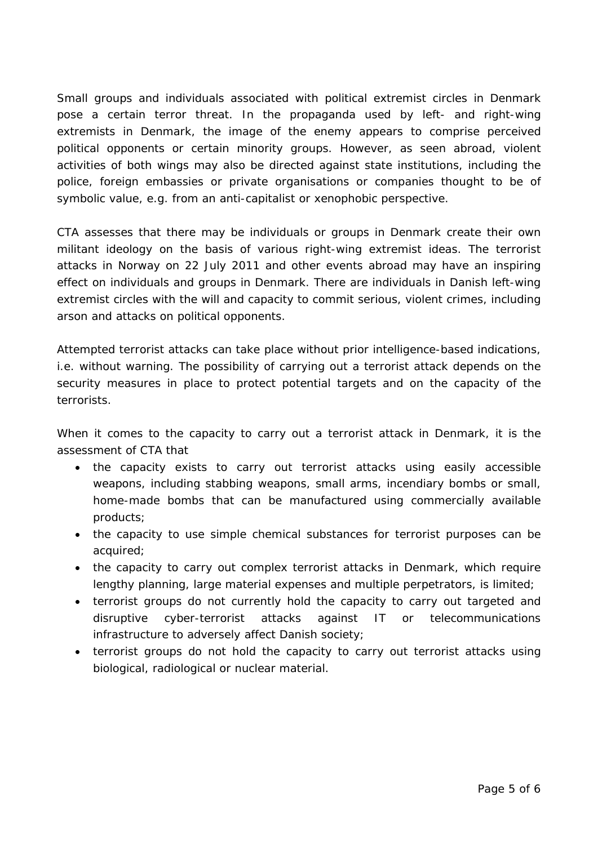Small groups and individuals associated with political extremist circles in Denmark pose a certain terror threat. In the propaganda used by left- and right-wing extremists in Denmark, the image of the enemy appears to comprise perceived political opponents or certain minority groups. However, as seen abroad, violent activities of both wings may also be directed against state institutions, including the police, foreign embassies or private organisations or companies thought to be of symbolic value, e.g. from an anti-capitalist or xenophobic perspective.

CTA assesses that there may be individuals or groups in Denmark create their own militant ideology on the basis of various right-wing extremist ideas. The terrorist attacks in Norway on 22 July 2011 and other events abroad may have an inspiring effect on individuals and groups in Denmark. There are individuals in Danish left-wing extremist circles with the will and capacity to commit serious, violent crimes, including arson and attacks on political opponents.

Attempted terrorist attacks can take place without prior intelligence-based indications, i.e. without warning. The possibility of carrying out a terrorist attack depends on the security measures in place to protect potential targets and on the capacity of the terrorists.

When it comes to the capacity to carry out a terrorist attack in Denmark, it is the assessment of CTA that

- the capacity exists to carry out terrorist attacks using easily accessible weapons, including stabbing weapons, small arms, incendiary bombs or small, home-made bombs that can be manufactured using commercially available products;
- the capacity to use simple chemical substances for terrorist purposes can be acquired;
- the capacity to carry out complex terrorist attacks in Denmark, which require lengthy planning, large material expenses and multiple perpetrators, is limited;
- terrorist groups do not currently hold the capacity to carry out targeted and disruptive cyber-terrorist attacks against IT or telecommunications infrastructure to adversely affect Danish society;
- terrorist groups do not hold the capacity to carry out terrorist attacks using biological, radiological or nuclear material.